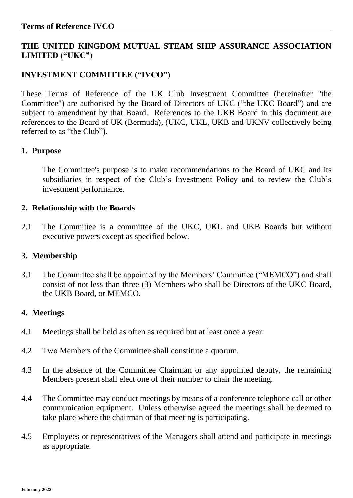# **THE UNITED KINGDOM MUTUAL STEAM SHIP ASSURANCE ASSOCIATION LIMITED ("UKC")**

# **INVESTMENT COMMITTEE ("IVCO")**

These Terms of Reference of the UK Club Investment Committee (hereinafter "the Committee") are authorised by the Board of Directors of UKC ("the UKC Board") and are subject to amendment by that Board. References to the UKB Board in this document are references to the Board of UK (Bermuda), (UKC, UKL, UKB and UKNV collectively being referred to as "the Club").

#### **1. Purpose**

The Committee's purpose is to make recommendations to the Board of UKC and its subsidiaries in respect of the Club's Investment Policy and to review the Club's investment performance.

### **2. Relationship with the Boards**

2.1 The Committee is a committee of the UKC, UKL and UKB Boards but without executive powers except as specified below.

#### **3. Membership**

3.1 The Committee shall be appointed by the Members' Committee ("MEMCO") and shall consist of not less than three (3) Members who shall be Directors of the UKC Board, the UKB Board, or MEMCO.

#### **4. Meetings**

- 4.1 Meetings shall be held as often as required but at least once a year.
- 4.2 Two Members of the Committee shall constitute a quorum.
- 4.3 In the absence of the Committee Chairman or any appointed deputy, the remaining Members present shall elect one of their number to chair the meeting.
- 4.4 The Committee may conduct meetings by means of a conference telephone call or other communication equipment. Unless otherwise agreed the meetings shall be deemed to take place where the chairman of that meeting is participating.
- 4.5 Employees or representatives of the Managers shall attend and participate in meetings as appropriate.